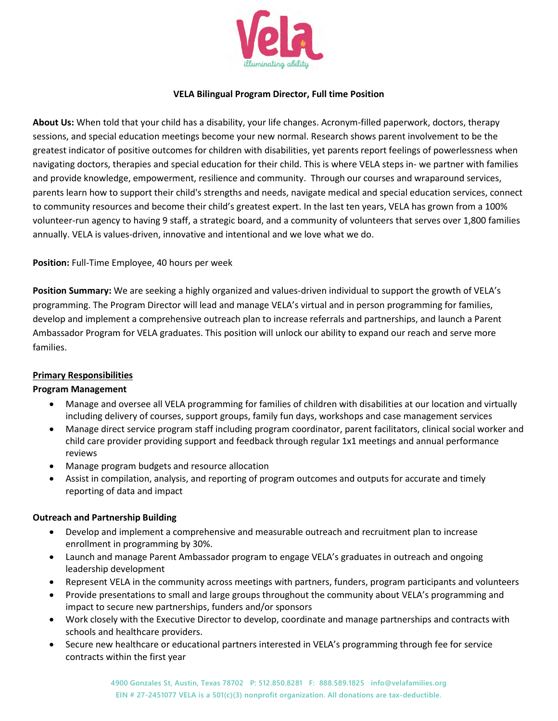

### **VELA Bilingual Program Director, Full time Position**

**About Us:** When told that your child has a disability, your life changes. Acronym-filled paperwork, doctors, therapy sessions, and special education meetings become your new normal. Research shows parent involvement to be the greatest indicator of positive outcomes for children with disabilities, yet parents report feelings of powerlessness when navigating doctors, therapies and special education for their child. This is where VELA steps in- we partner with families and provide knowledge, empowerment, resilience and community. Through our courses and wraparound services, parents learn how to support their child's strengths and needs, navigate medical and special education services, connect to community resources and become their child's greatest expert. In the last ten years, VELA has grown from a 100% volunteer-run agency to having 9 staff, a strategic board, and a community of volunteers that serves over 1,800 families annually. VELA is values-driven, innovative and intentional and we love what we do.

**Position:** Full-Time Employee, 40 hours per week

**Position Summary:** We are seeking a highly organized and values-driven individual to support the growth of VELA's programming. The Program Director will lead and manage VELA's virtual and in person programming for families, develop and implement a comprehensive outreach plan to increase referrals and partnerships, and launch a Parent Ambassador Program for VELA graduates. This position will unlock our ability to expand our reach and serve more families.

# **Primary Responsibilities**

### **Program Management**

- Manage and oversee all VELA programming for families of children with disabilities at our location and virtually including delivery of courses, support groups, family fun days, workshops and case management services
- Manage direct service program staff including program coordinator, parent facilitators, clinical social worker and child care provider providing support and feedback through regular 1x1 meetings and annual performance reviews
- Manage program budgets and resource allocation
- Assist in compilation, analysis, and reporting of program outcomes and outputs for accurate and timely reporting of data and impact

### **Outreach and Partnership Building**

- Develop and implement a comprehensive and measurable outreach and recruitment plan to increase enrollment in programming by 30%.
- Launch and manage Parent Ambassador program to engage VELA's graduates in outreach and ongoing leadership development
- Represent VELA in the community across meetings with partners, funders, program participants and volunteers
- Provide presentations to small and large groups throughout the community about VELA's programming and impact to secure new partnerships, funders and/or sponsors
- Work closely with the Executive Director to develop, coordinate and manage partnerships and contracts with schools and healthcare providers.
- Secure new healthcare or educational partners interested in VELA's programming through fee for service contracts within the first year